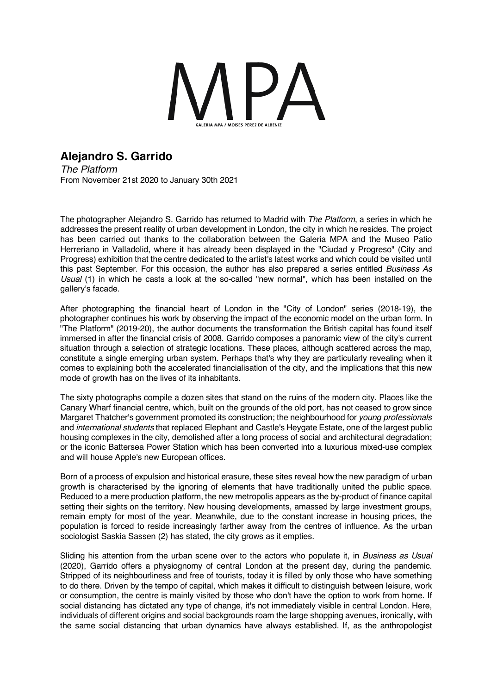

## **Alejandro S. Garrido**

*The Platform* From November 21st 2020 to January 30th 2021

The photographer Alejandro S. Garrido has returned to Madrid with *The Platform*, a series in which he addresses the present reality of urban development in London, the city in which he resides. The project has been carried out thanks to the collaboration between the Galeria MPA and the Museo Patio Herreriano in Valladolid, where it has already been displayed in the "Ciudad y Progreso" (City and Progress) exhibition that the centre dedicated to the artist's latest works and which could be visited until this past September. For this occasion, the author has also prepared a series entitled *Business As Usual* (1) in which he casts a look at the so-called "new normal", which has been installed on the gallery's facade.

After photographing the financial heart of London in the "City of London" series (2018-19), the photographer continues his work by observing the impact of the economic model on the urban form. In "The Platform" (2019-20), the author documents the transformation the British capital has found itself immersed in after the financial crisis of 2008. Garrido composes a panoramic view of the city's current situation through a selection of strategic locations. These places, although scattered across the map, constitute a single emerging urban system. Perhaps that's why they are particularly revealing when it comes to explaining both the accelerated financialisation of the city, and the implications that this new mode of growth has on the lives of its inhabitants.

The sixty photographs compile a dozen sites that stand on the ruins of the modern city. Places like the Canary Wharf financial centre, which, built on the grounds of the old port, has not ceased to grow since Margaret Thatcher's government promoted its construction; the neighbourhood for *young professionals* and *international students* that replaced Elephant and Castle's Heygate Estate, one of the largest public housing complexes in the city, demolished after a long process of social and architectural degradation; or the iconic Battersea Power Station which has been converted into a luxurious mixed-use complex and will house Apple's new European offices.

Born of a process of expulsion and historical erasure, these sites reveal how the new paradigm of urban growth is characterised by the ignoring of elements that have traditionally united the public space. Reduced to a mere production platform, the new metropolis appears as the by-product of finance capital setting their sights on the territory. New housing developments, amassed by large investment groups, remain empty for most of the year. Meanwhile, due to the constant increase in housing prices, the population is forced to reside increasingly farther away from the centres of influence. As the urban sociologist Saskia Sassen (2) has stated, the city grows as it empties.

Sliding his attention from the urban scene over to the actors who populate it, in *Business as Usual* (2020), Garrido offers a physiognomy of central London at the present day, during the pandemic. Stripped of its neighbourliness and free of tourists, today it is filled by only those who have something to do there. Driven by the tempo of capital, which makes it difficult to distinguish between leisure, work or consumption, the centre is mainly visited by those who don't have the option to work from home. If social distancing has dictated any type of change, it's not immediately visible in central London. Here, individuals of different origins and social backgrounds roam the large shopping avenues, ironically, with the same social distancing that urban dynamics have always established. If, as the anthropologist